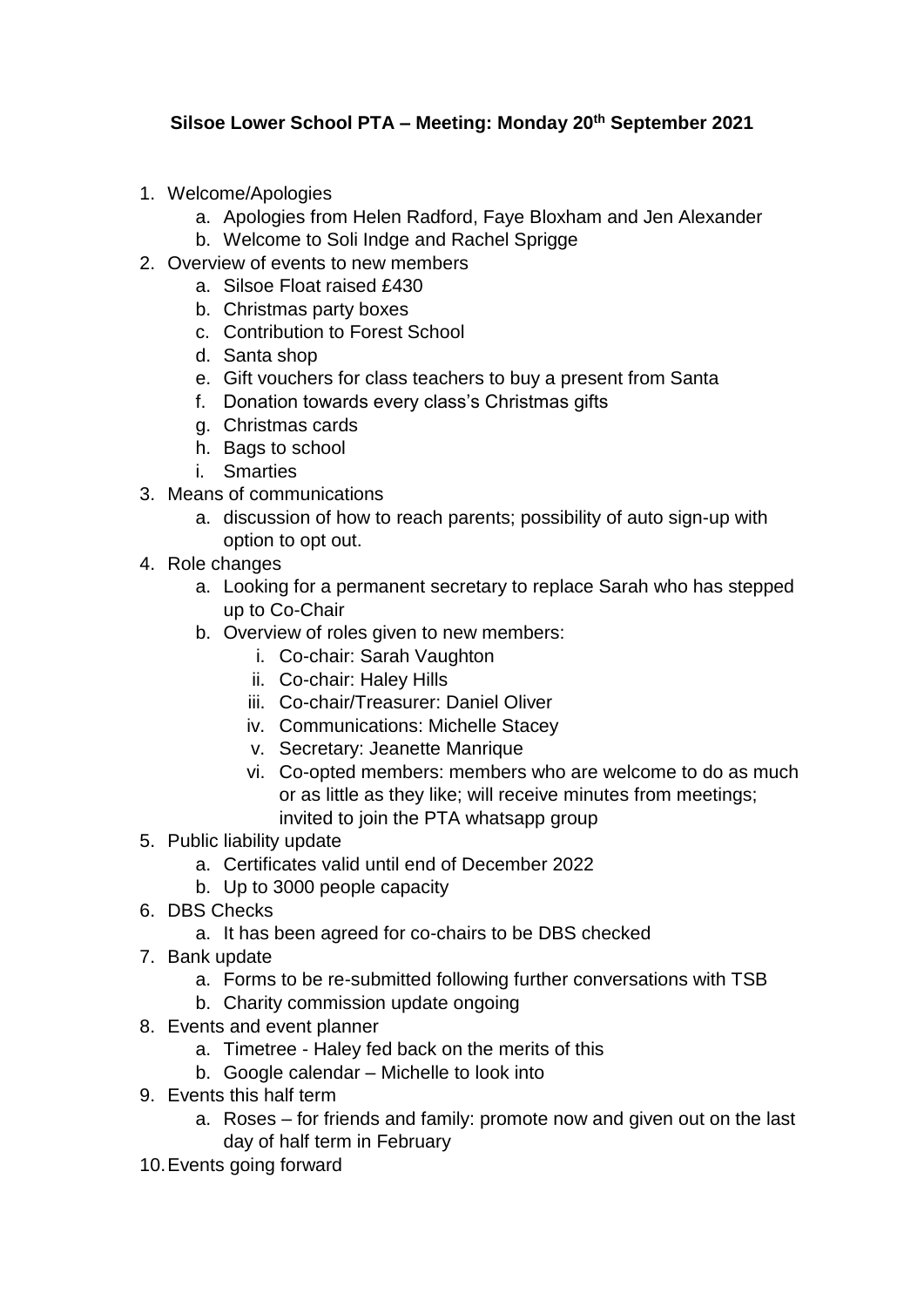## **Silsoe Lower School PTA – Meeting: Monday 20th September 2021**

- 1. Welcome/Apologies
	- a. Apologies from Helen Radford, Faye Bloxham and Jen Alexander
	- b. Welcome to Soli Indge and Rachel Sprigge
- 2. Overview of events to new members
	- a. Silsoe Float raised £430
	- b. Christmas party boxes
	- c. Contribution to Forest School
	- d. Santa shop
	- e. Gift vouchers for class teachers to buy a present from Santa
	- f. Donation towards every class's Christmas gifts
	- g. Christmas cards
	- h. Bags to school
	- i. Smarties
- 3. Means of communications
	- a. discussion of how to reach parents; possibility of auto sign-up with option to opt out.
- 4. Role changes
	- a. Looking for a permanent secretary to replace Sarah who has stepped up to Co-Chair
	- b. Overview of roles given to new members:
		- i. Co-chair: Sarah Vaughton
		- ii. Co-chair: Haley Hills
		- iii. Co-chair/Treasurer: Daniel Oliver
		- iv. Communications: Michelle Stacey
		- v. Secretary: Jeanette Manrique
		- vi. Co-opted members: members who are welcome to do as much or as little as they like; will receive minutes from meetings; invited to join the PTA whatsapp group
- 5. Public liability update
	- a. Certificates valid until end of December 2022
	- b. Up to 3000 people capacity
- 6. DBS Checks
	- a. It has been agreed for co-chairs to be DBS checked
- 7. Bank update
	- a. Forms to be re-submitted following further conversations with TSB
	- b. Charity commission update ongoing
- 8. Events and event planner
	- a. Timetree Haley fed back on the merits of this
	- b. Google calendar Michelle to look into
- 9. Events this half term
	- a. Roses for friends and family: promote now and given out on the last day of half term in February
- 10.Events going forward